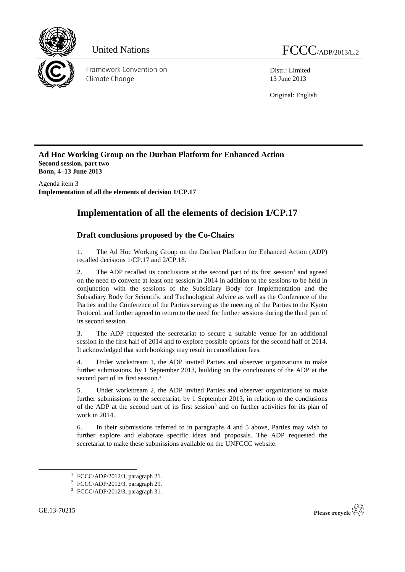

Distr.: Limited 13 June 2013

Original: English

**Ad Hoc Working Group on the Durban Platform for Enhanced Action Second session, part two Bonn, 4–13 June 2013**

Agenda item 3 **Implementation of all the elements of decision 1/CP.17**

## **Implementation of all the elements of decision 1/CP.17**

## **Draft conclusions proposed by the Co-Chairs**

1. The Ad Hoc Working Group on the Durban Platform for Enhanced Action (ADP) recalled decisions 1/CP.17 and 2/CP.18.

2. The ADP recalled its conclusions at the second part of its first session<sup>1</sup> and agreed on the need to convene at least one session in 2014 in addition to the sessions to be held in conjunction with the sessions of the Subsidiary Body for Implementation and the Subsidiary Body for Scientific and Technological Advice as well as the Conference of the Parties and the Conference of the Parties serving as the meeting of the Parties to the Kyoto Protocol, and further agreed to return to the need for further sessions during the third part of its second session.

3. The ADP requested the secretariat to secure a suitable venue for an additional session in the first half of 2014 and to explore possible options for the second half of 2014. It acknowledged that such bookings may result in cancellation fees.

4. Under workstream 1, the ADP invited Parties and observer organizations to make further submissions, by 1 September 2013, building on the conclusions of the ADP at the second part of its first session.<sup>2</sup>

5. Under workstream 2, the ADP invited Parties and observer organizations to make further submissions to the secretariat, by 1 September 2013, in relation to the conclusions of the ADP at the second part of its first session<sup>3</sup> and on further activities for its plan of work in 2014.

6. In their submissions referred to in paragraphs 4 and 5 above, Parties may wish to further explore and elaborate specific ideas and proposals. The ADP requested the secretariat to make these submissions available on the UNFCCC website.

-



 $1$  FCCC/ADP/2012/3, paragraph 21.

 $2$  FCCC/ADP/2012/3, paragraph 29.

<sup>3</sup> FCCC/ADP/2012/3, paragraph 31.